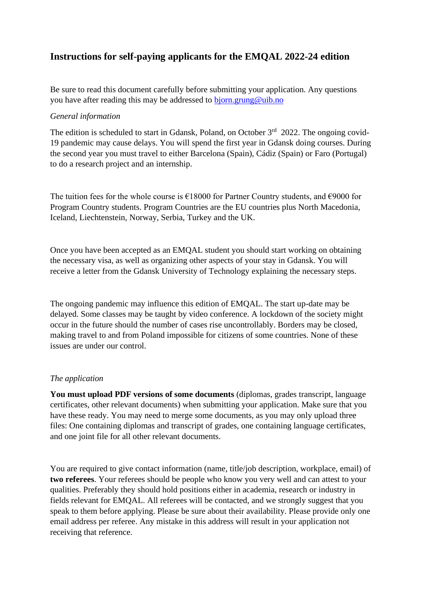### **Instructions for self-paying applicants for the EMQAL 2022-24 edition**

Be sure to read this document carefully before submitting your application. Any questions you have after reading this may be addressed to [bjorn.grung@uib.no](mailto:bjorn.grung@uib.no)

### *General information*

The edition is scheduled to start in Gdansk, Poland, on October 3<sup>rd</sup> 2022. The ongoing covid-19 pandemic may cause delays. You will spend the first year in Gdansk doing courses. During the second year you must travel to either Barcelona (Spain), Cádiz (Spain) or Faro (Portugal) to do a research project and an internship.

The tuition fees for the whole course is  $\epsilon$ 18000 for Partner Country students, and  $\epsilon$ 9000 for Program Country students. Program Countries are the EU countries plus North Macedonia, Iceland, Liechtenstein, Norway, Serbia, Turkey and the UK.

Once you have been accepted as an EMQAL student you should start working on obtaining the necessary visa, as well as organizing other aspects of your stay in Gdansk. You will receive a letter from the Gdansk University of Technology explaining the necessary steps.

The ongoing pandemic may influence this edition of EMQAL. The start up-date may be delayed. Some classes may be taught by video conference. A lockdown of the society might occur in the future should the number of cases rise uncontrollably. Borders may be closed, making travel to and from Poland impossible for citizens of some countries. None of these issues are under our control.

#### *The application*

**You must upload PDF versions of some documents** (diplomas, grades transcript, language certificates, other relevant documents) when submitting your application. Make sure that you have these ready. You may need to merge some documents, as you may only upload three files: One containing diplomas and transcript of grades, one containing language certificates, and one joint file for all other relevant documents.

You are required to give contact information (name, title/job description, workplace, email) of **two referees**. Your referees should be people who know you very well and can attest to your qualities. Preferably they should hold positions either in academia, research or industry in fields relevant for EMQAL. All referees will be contacted, and we strongly suggest that you speak to them before applying. Please be sure about their availability. Please provide only one email address per referee. Any mistake in this address will result in your application not receiving that reference.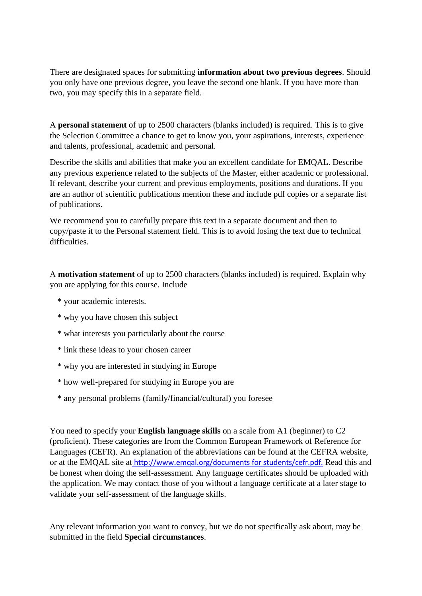There are designated spaces for submitting **information about two previous degrees**. Should you only have one previous degree, you leave the second one blank. If you have more than two, you may specify this in a separate field.

A **personal statement** of up to 2500 characters (blanks included) is required. This is to give the Selection Committee a chance to get to know you, your aspirations, interests, experience and talents, professional, academic and personal.

Describe the skills and abilities that make you an excellent candidate for EMQAL. Describe any previous experience related to the subjects of the Master, either academic or professional. If relevant, describe your current and previous employments, positions and durations. If you are an author of scientific publications mention these and include pdf copies or a separate list of publications.

We recommend you to carefully prepare this text in a separate document and then to copy/paste it to the Personal statement field. This is to avoid losing the text due to technical difficulties.

A **motivation statement** of up to 2500 characters (blanks included) is required. Explain why you are applying for this course. Include

- \* your academic interests.
- \* why you have chosen this subject
- \* what interests you particularly about the course
- \* link these ideas to your chosen career
- \* why you are interested in studying in Europe
- \* how well-prepared for studying in Europe you are
- \* any personal problems (family/financial/cultural) you foresee

You need to specify your **English language skills** on a scale from A1 (beginner) to C2 (proficient). These categories are from the Common European Framework of Reference for Languages (CEFR). An explanation of the abbreviations can be found at the CEFRA website, or at the EMQAL site at <http://www.emqal.org/documents> for students/cefr.pdf. Read this and be honest when doing the self-assessment. Any language certificates should be uploaded with the application. We may contact those of you without a language certificate at a later stage to validate your self-assessment of the language skills.

Any relevant information you want to convey, but we do not specifically ask about, may be submitted in the field **Special circumstances**.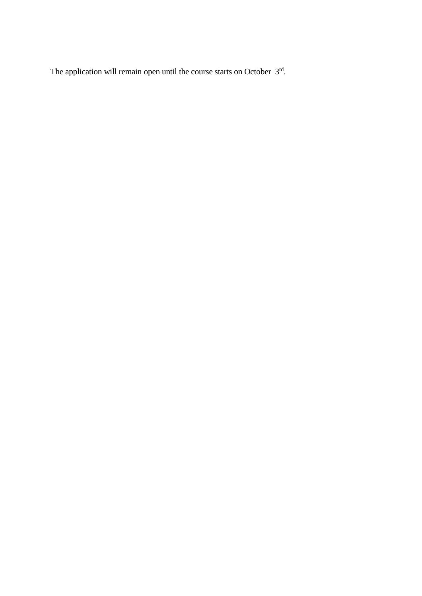The application will remain open until the course starts on October  $3<sup>rd</sup>$ .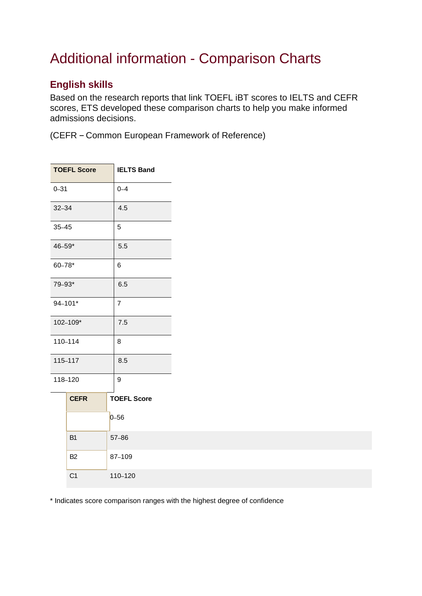## Additional information - Comparison Charts

## **English skills**

Based on the research reports that link TOEFL iBT scores to IELTS and CEFR scores, ETS developed these comparison charts to help you make informed admissions decisions.

(CEFR – Common European Framework of Reference)

| <b>TOEFL Score</b> |                | <b>IELTS Band</b> |                    |
|--------------------|----------------|-------------------|--------------------|
| $0 - 31$           |                | $0 - 4$           |                    |
| $32 - 34$          |                | 4.5               |                    |
| $35 - 45$          |                | 5                 |                    |
| 46-59*             |                | 5.5               |                    |
| $60 - 78*$         |                | 6                 |                    |
| 79-93*             |                | 6.5               |                    |
| 94-101*            |                | $\overline{7}$    |                    |
| 102-109*           |                | 7.5               |                    |
| 110-114            |                | 8                 |                    |
| 115-117            |                | 8.5               |                    |
| 118-120            |                | 9                 |                    |
|                    | <b>CEFR</b>    |                   | <b>TOEFL Score</b> |
|                    |                |                   | $0 - 56$           |
|                    | B <sub>1</sub> |                   | 57-86              |
|                    | B <sub>2</sub> |                   | 87-109             |
|                    | C <sub>1</sub> |                   | 110-120            |

\* Indicates score comparison ranges with the highest degree of confidence